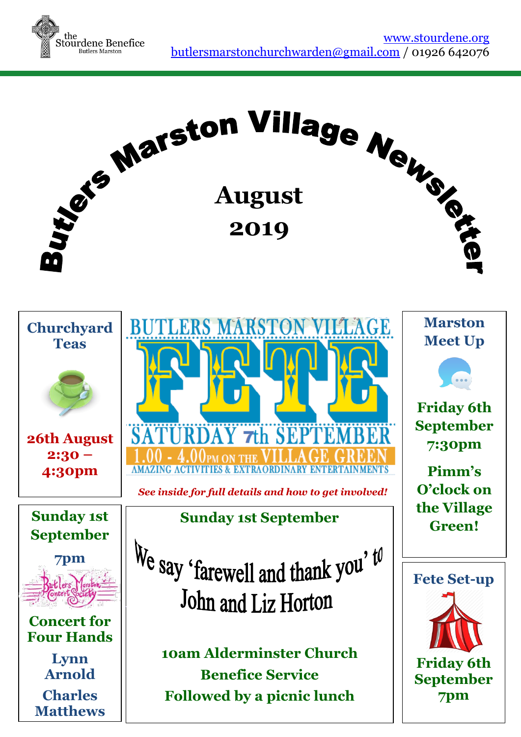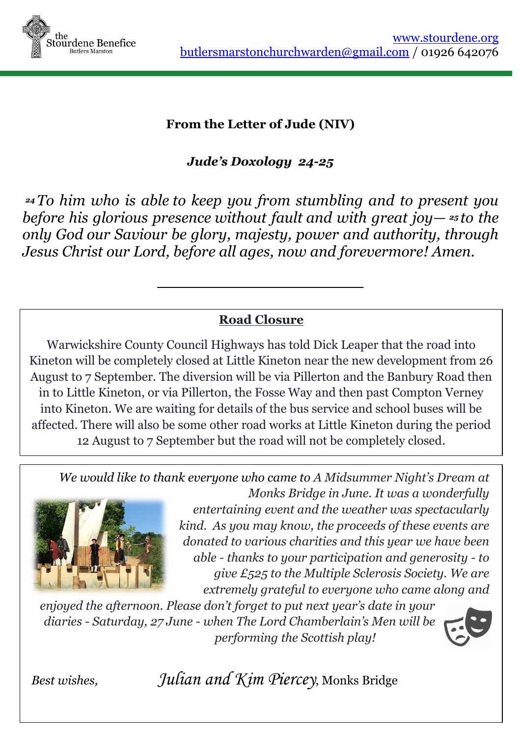

#### **From the Letter of Jude (NIV)**

*Jude's Doxology 24-25*

*<sup>24</sup> To him who is able to keep you from stumbling and to present you before his glorious presence without fault and with great joy— <sup>25</sup> to the only God our Saviour be glory, majesty, power and authority, through Jesus Christ our Lord, before all ages, now and forevermore! Amen.*

### **Road Closure**

Warwickshire County Council Highways has told Dick Leaper that the road into Kineton will be completely closed at Little Kineton near the new development from 26 August to 7 September. The diversion will be via Pillerton and the Banbury Road then in to Little Kineton, or via Pillerton, the Fosse Way and then past Compton Verney into Kineton. We are waiting for details of the bus service and school buses will be affected. There will also be some other road works at Little Kineton during the period 12 August to 7 September but the road will not be completely closed.

*We would like to thank everyone who came to A Midsummer Night's Dream at* 



*Monks Bridge in June. It was a wonderfully entertaining event and the weather was spectacularly kind. As you may know, the proceeds of these events are donated to various charities and this year we have been able - thanks to your participation and generosity - to give £525 to the Multiple Sclerosis Society. We are extremely grateful to everyone who came along and* 

*enjoyed the afternoon. Please don't forget to put next year's date in your diaries - Saturday, 27 June - when The Lord Chamberlain's Men will be performing the Scottish play!* 



*Best wishes, Julian and Kim Piercey*, Monks Bridge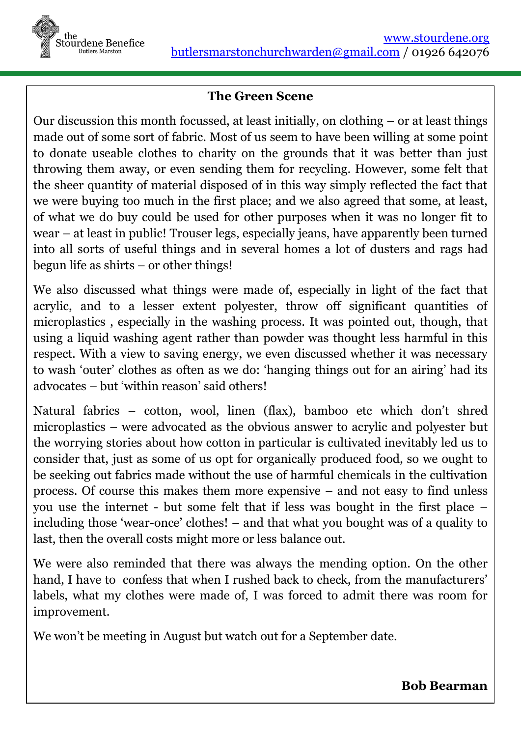

#### **The Green Scene**

Our discussion this month focussed, at least initially, on clothing – or at least things made out of some sort of fabric. Most of us seem to have been willing at some point to donate useable clothes to charity on the grounds that it was better than just throwing them away, or even sending them for recycling. However, some felt that the sheer quantity of material disposed of in this way simply reflected the fact that we were buying too much in the first place; and we also agreed that some, at least, of what we do buy could be used for other purposes when it was no longer fit to wear – at least in public! Trouser legs, especially jeans, have apparently been turned into all sorts of useful things and in several homes a lot of dusters and rags had begun life as shirts – or other things!

We also discussed what things were made of, especially in light of the fact that acrylic, and to a lesser extent polyester, throw off significant quantities of microplastics , especially in the washing process. It was pointed out, though, that using a liquid washing agent rather than powder was thought less harmful in this respect. With a view to saving energy, we even discussed whether it was necessary to wash 'outer' clothes as often as we do: 'hanging things out for an airing' had its advocates – but 'within reason' said others!

Natural fabrics – cotton, wool, linen (flax), bamboo etc which don't shred microplastics – were advocated as the obvious answer to acrylic and polyester but the worrying stories about how cotton in particular is cultivated inevitably led us to consider that, just as some of us opt for organically produced food, so we ought to be seeking out fabrics made without the use of harmful chemicals in the cultivation process. Of course this makes them more expensive – and not easy to find unless you use the internet - but some felt that if less was bought in the first place – including those 'wear-once' clothes! – and that what you bought was of a quality to last, then the overall costs might more or less balance out.

We were also reminded that there was always the mending option. On the other hand, I have to confess that when I rushed back to check, from the manufacturers' labels, what my clothes were made of, I was forced to admit there was room for improvement.

We won't be meeting in August but watch out for a September date.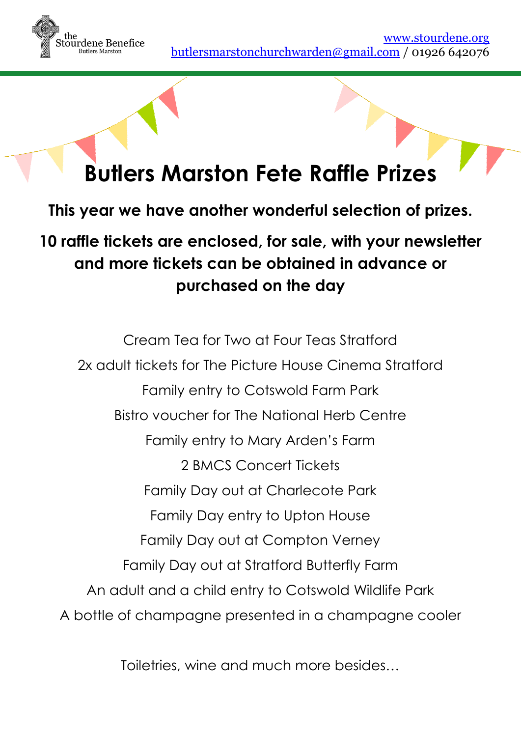

# **Butlers Marston Fete Raffle Prizes**

**This year we have another wonderful selection of prizes.**

**10 raffle tickets are enclosed, for sale, with your newsletter and more tickets can be obtained in advance or purchased on the day**

Cream Tea for Two at Four Teas Stratford 2x adult tickets for The Picture House Cinema Stratford Family entry to Cotswold Farm Park Bistro voucher for The National Herb Centre Family entry to Mary Arden's Farm 2 BMCS Concert Tickets Family Day out at Charlecote Park Family Day entry to Upton House Family Day out at Compton Verney Family Day out at Stratford Butterfly Farm An adult and a child entry to Cotswold Wildlife Park A bottle of champagne presented in a champagne cooler

Toiletries, wine and much more besides…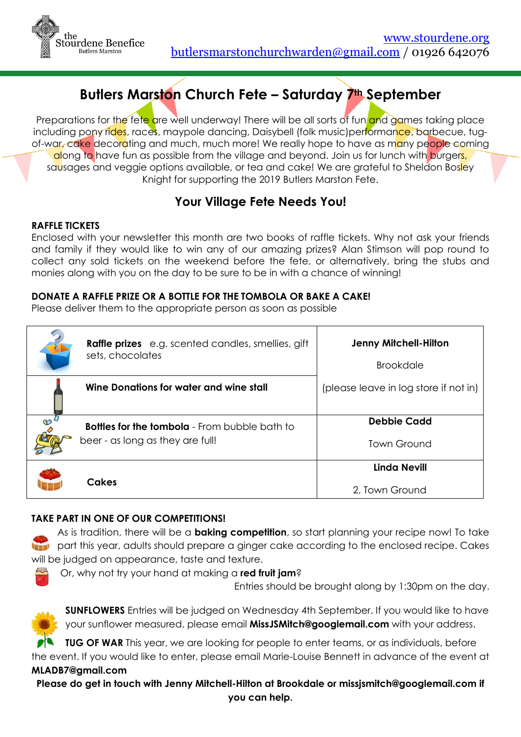

# **Butlers Marston Church Fete – Saturday 7th September**

Preparations for the fete are well underway! There will be all sorts of fun and games taking place including pony rides, races, maypole dancing, Daisybell (folk music)performance, barbecue, tugof-war, cake decorating and much, much more! We really hope to have as many people coming along to have fun as possible from the village and beyond. Join us for lunch with burgers, sausages and veggie options available, or tea and cake! We are grateful to Sheldon Bosley Knight for supporting the 2019 Butlers Marston Fete.

#### **Your Village Fete Needs You!**

#### **RAFFLE TICKETS**

Enclosed with your newsletter this month are two books of raffle tickets. Why not ask your friends and family if they would like to win any of our amazing prizes? Alan Stimson will pop round to collect any sold tickets on the weekend before the fete, or alternatively, bring the stubs and monies along with you on the day to be sure to be in with a chance of winning!

#### **DONATE A RAFFLE PRIZE OR A BOTTLE FOR THE TOMBOLA OR BAKE A CAKE!**

Please deliver them to the appropriate person as soon as possible

|          | <b>Raffle prizes</b> e.g. scented candles, smellies, gift<br>sets, chocolates            | <b>Jenny Mitchell-Hilton</b>          |
|----------|------------------------------------------------------------------------------------------|---------------------------------------|
|          |                                                                                          | <b>Brookdale</b>                      |
|          | Wine Donations for water and wine stall                                                  | (please leave in log store if not in) |
| $\infty$ | <b>Bottles for the tombola</b> - From bubble bath to<br>beer - as long as they are full! | <b>Debbie Cadd</b>                    |
|          |                                                                                          | <b>Town Ground</b>                    |
|          | Cakes                                                                                    | <b>Linda Nevill</b>                   |
|          |                                                                                          | 2, Town Ground                        |

#### **TAKE PART IN ONE OF OUR COMPETITIONS!**

As is tradition, there will be a **baking competition**, so start planning your recipe now! To take **LET** part this year, adults should prepare a ginger cake according to the enclosed recipe. Cakes will be judged on appearance, taste and texture.

Or, why not try your hand at making a **red fruit jam**?

Entries should be brought along by 1:30pm on the day.



**SUNFLOWERS** Entries will be judged on Wednesday 4th September. If you would like to have your sunflower measured, please email **[MissJSMitch@googlemail.com](mailto:MissJSMitch@googlemail.com)** with your address.

**TUG OF WAR** This year, we are looking for people to enter teams, or as individuals, before the event. If you would like to enter, please email Marie-Louise Bennett in advance of the event at **[MLADB7@gmail.com](mailto:MLADB7@gmail.com)**

**Please do get in touch with Jenny Mitchell-Hilton at Brookdale or [missjsmitch@googlemail.com](mailto:missjsmitch@googlemail.com) if you can help.**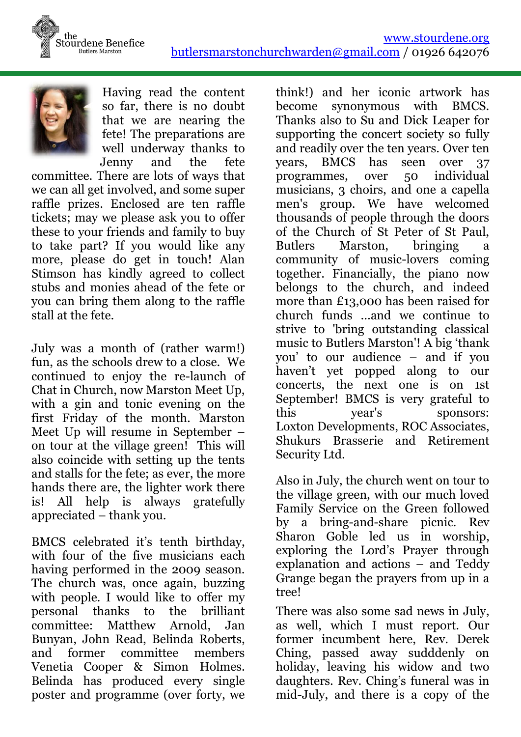



Having read the content so far, there is no doubt that we are nearing the fete! The preparations are well underway thanks to Jenny and the fete

committee. There are lots of ways that we can all get involved, and some super raffle prizes. Enclosed are ten raffle tickets; may we please ask you to offer these to your friends and family to buy to take part? If you would like any more, please do get in touch! Alan Stimson has kindly agreed to collect stubs and monies ahead of the fete or you can bring them along to the raffle stall at the fete.

July was a month of (rather warm!) fun, as the schools drew to a close. We continued to enjoy the re-launch of Chat in Church, now Marston Meet Up, with a gin and tonic evening on the first Friday of the month. Marston Meet Up will resume in September – on tour at the village green! This will also coincide with setting up the tents and stalls for the fete; as ever, the more hands there are, the lighter work there is! All help is always gratefully appreciated – thank you.

BMCS celebrated it's tenth birthday, with four of the five musicians each having performed in the 2009 season. The church was, once again, buzzing with people. I would like to offer my personal thanks to the brilliant committee: Matthew Arnold, Jan Bunyan, John Read, Belinda Roberts, and former committee members Venetia Cooper & Simon Holmes. Belinda has produced every single poster and programme (over forty, we

think!) and her iconic artwork has become synonymous with BMCS. Thanks also to Su and Dick Leaper for supporting the concert society so fully and readily over the ten years. Over ten years, BMCS has seen over 37 programmes, over 50 individual musicians, 3 choirs, and one a capella men's group. We have welcomed thousands of people through the doors of the Church of St Peter of St Paul, Butlers Marston, bringing a community of music-lovers coming together. Financially, the piano now belongs to the church, and indeed more than £13,000 has been raised for church funds ...and we continue to strive to 'bring outstanding classical music to Butlers Marston'! A big 'thank you' to our audience – and if you haven't yet popped along to our concerts, the next one is on 1st September! BMCS is very grateful to this year's sponsors: Loxton Developments, ROC Associates, Shukurs Brasserie and Retirement Security Ltd.

Also in July, the church went on tour to the village green, with our much loved Family Service on the Green followed by a bring-and-share picnic. Rev Sharon Goble led us in worship, exploring the Lord's Prayer through explanation and actions – and Teddy Grange began the prayers from up in a tree!

There was also some sad news in July, as well, which I must report. Our former incumbent here, Rev. Derek Ching, passed away sudddenly on holiday, leaving his widow and two daughters. Rev. Ching's funeral was in mid-July, and there is a copy of the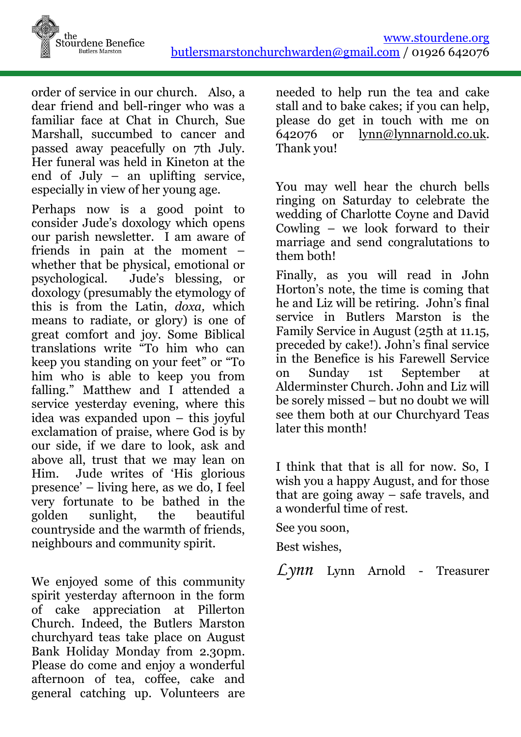

order of service in our church. Also, a dear friend and bell-ringer who was a familiar face at Chat in Church, Sue Marshall, succumbed to cancer and passed away peacefully on 7th July. Her funeral was held in Kineton at the end of July – an uplifting service, especially in view of her young age.

Perhaps now is a good point to consider Jude's doxology which opens our parish newsletter. I am aware of friends in pain at the moment – whether that be physical, emotional or psychological. Jude's blessing, or doxology (presumably the etymology of this is from the Latin, *doxa,* which means to radiate, or glory) is one of great comfort and joy. Some Biblical translations write "To him who can keep you standing on your feet" or "To him who is able to keep you from falling." Matthew and I attended a service yesterday evening, where this idea was expanded upon – this joyful exclamation of praise, where God is by our side, if we dare to look, ask and above all, trust that we may lean on Him. Jude writes of 'His glorious presence' – living here, as we do, I feel very fortunate to be bathed in the golden sunlight, the beautiful countryside and the warmth of friends, neighbours and community spirit.

We enjoyed some of this community spirit yesterday afternoon in the form of cake appreciation at Pillerton Church. Indeed, the Butlers Marston churchyard teas take place on August Bank Holiday Monday from 2.30pm. Please do come and enjoy a wonderful afternoon of tea, coffee, cake and general catching up. Volunteers are

needed to help run the tea and cake stall and to bake cakes; if you can help, please do get in touch with me on 642076 or [lynn@lynnarnold.co.uk.](mailto:lynn@lynnarnold.co.uk) Thank you!

You may well hear the church bells ringing on Saturday to celebrate the wedding of Charlotte Coyne and David Cowling – we look forward to their marriage and send congralutations to them both!

Finally, as you will read in John Horton's note, the time is coming that he and Liz will be retiring. John's final service in Butlers Marston is the Family Service in August (25th at 11.15, preceded by cake!). John's final service in the Benefice is his Farewell Service on Sunday 1st September at Alderminster Church. John and Liz will be sorely missed – but no doubt we will see them both at our Churchyard Teas later this month!

I think that that is all for now. So, I wish you a happy August, and for those that are going away – safe travels, and a wonderful time of rest.

See you soon,

Best wishes,

*Lynn* Lynn Arnold - Treasurer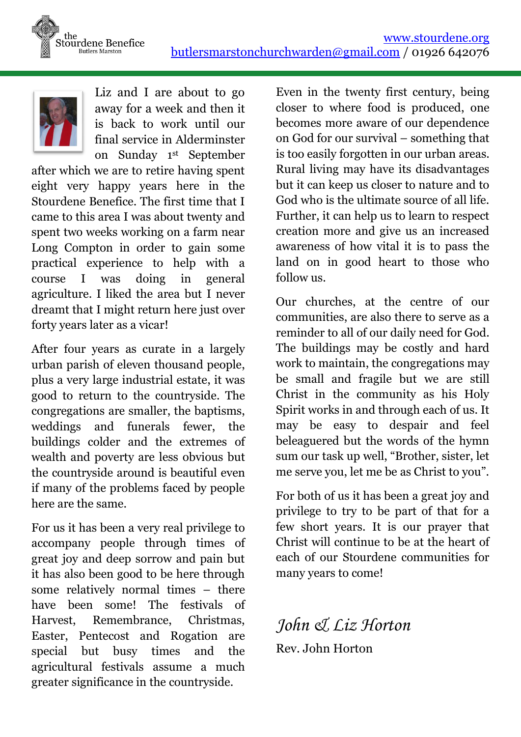



Liz and I are about to go away for a week and then it is back to work until our final service in Alderminster on Sunday 1st September

after which we are to retire having spent eight very happy years here in the Stourdene Benefice. The first time that I came to this area I was about twenty and spent two weeks working on a farm near Long Compton in order to gain some practical experience to help with a course I was doing in general agriculture. I liked the area but I never dreamt that I might return here just over forty years later as a vicar!

After four years as curate in a largely urban parish of eleven thousand people, plus a very large industrial estate, it was good to return to the countryside. The congregations are smaller, the baptisms, weddings and funerals fewer, the buildings colder and the extremes of wealth and poverty are less obvious but the countryside around is beautiful even if many of the problems faced by people here are the same.

For us it has been a very real privilege to accompany people through times of great joy and deep sorrow and pain but it has also been good to be here through some relatively normal times – there have been some! The festivals of Harvest, Remembrance, Christmas, Easter, Pentecost and Rogation are special but busy times and the agricultural festivals assume a much greater significance in the countryside.

Even in the twenty first century, being closer to where food is produced, one becomes more aware of our dependence on God for our survival – something that is too easily forgotten in our urban areas. Rural living may have its disadvantages but it can keep us closer to nature and to God who is the ultimate source of all life. Further, it can help us to learn to respect creation more and give us an increased awareness of how vital it is to pass the land on in good heart to those who follow us.

Our churches, at the centre of our communities, are also there to serve as a reminder to all of our daily need for God. The buildings may be costly and hard work to maintain, the congregations may be small and fragile but we are still Christ in the community as his Holy Spirit works in and through each of us. It may be easy to despair and feel beleaguered but the words of the hymn sum our task up well, "Brother, sister, let me serve you, let me be as Christ to you".

For both of us it has been a great joy and privilege to try to be part of that for a few short years. It is our prayer that Christ will continue to be at the heart of each of our Stourdene communities for many years to come!

*John & Liz Horton* Rev. John Horton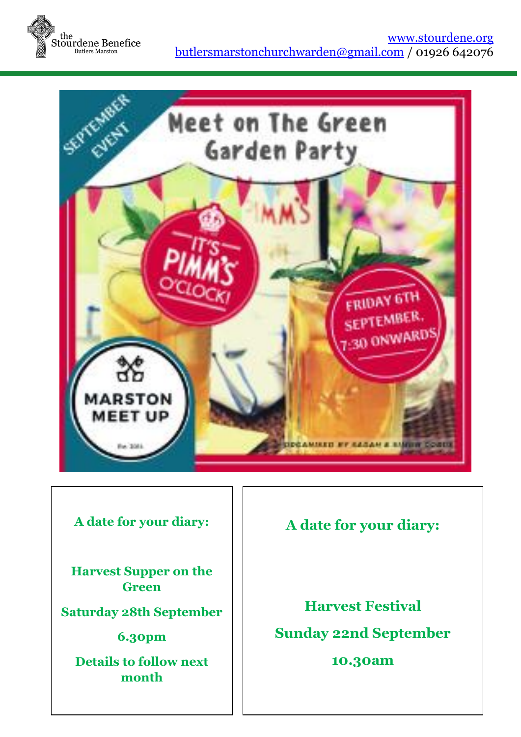



#### **A date for your diary:**

**Harvest Supper on the Green**

**Saturday 28th September**

**6.30pm**

**Details to follow next month**

## **A date for your diary:**

**Harvest Festival Sunday 22nd September**

#### **10.30am**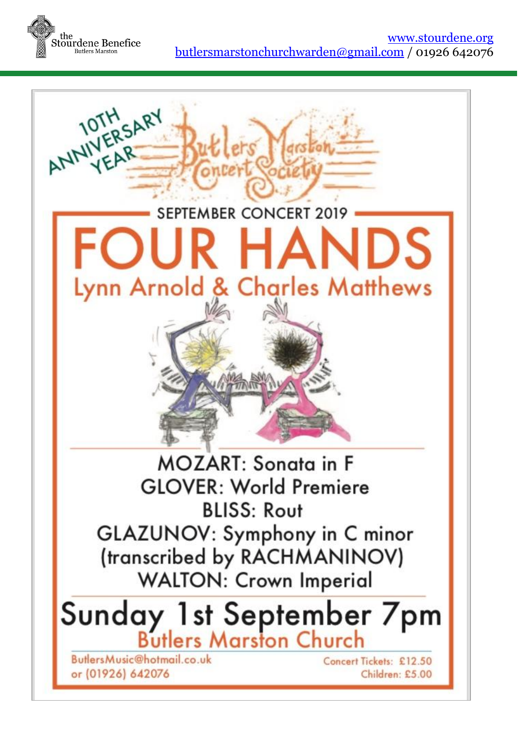

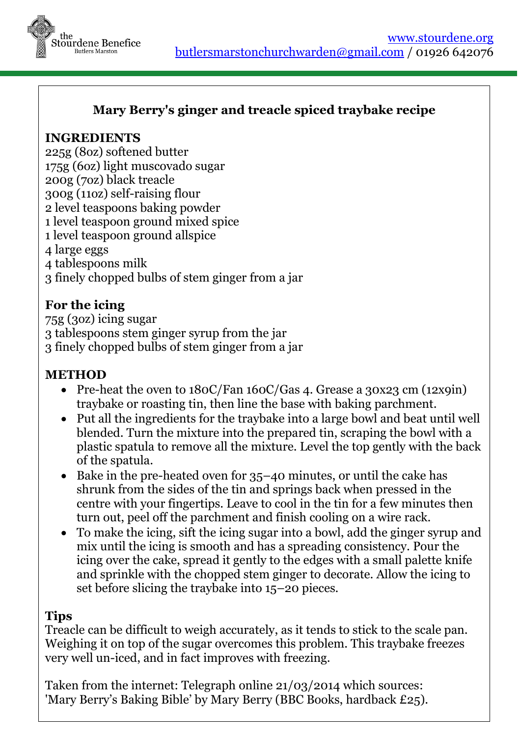

#### **Mary Berry's ginger and treacle spiced traybake recipe**

#### **INGREDIENTS**

225g (8oz) softened butter 175g (6oz) light muscovado sugar 200g (7oz) black treacle 300g (11oz) self-raising flour 2 level teaspoons baking powder 1 level teaspoon ground mixed spice 1 level teaspoon ground allspice 4 large eggs 4 tablespoons milk 3 finely chopped bulbs of stem ginger from a jar

#### **For the icing**

75g (3oz) icing sugar 3 tablespoons stem ginger syrup from the jar 3 finely chopped bulbs of stem ginger from a jar

#### **METHOD**

- Pre-heat the oven to 180C/Fan 160C/Gas 4. Grease a 30x23 cm (12x9in) traybake or roasting tin, then line the base with baking parchment.
- Put all the ingredients for the traybake into a large bowl and beat until well blended. Turn the mixture into the prepared tin, scraping the bowl with a plastic spatula to remove all the mixture. Level the top gently with the back of the spatula.
- $\bullet$  Bake in the pre-heated oven for 35–40 minutes, or until the cake has shrunk from the sides of the tin and springs back when pressed in the centre with your fingertips. Leave to cool in the tin for a few minutes then turn out, peel off the parchment and finish cooling on a wire rack.
- To make the icing, sift the icing sugar into a bowl, add the ginger syrup and mix until the icing is smooth and has a spreading consistency. Pour the icing over the cake, spread it gently to the edges with a small palette knife and sprinkle with the chopped stem ginger to decorate. Allow the icing to set before slicing the traybake into 15–20 pieces.

#### **Tips**

Treacle can be difficult to weigh accurately, as it tends to stick to the scale pan. Weighing it on top of the sugar overcomes this problem. This traybake freezes very well un-iced, and in fact improves with freezing.

Taken from the internet: Telegraph online 21/03/2014 which sources: 'Mary Berry's Baking Bible' by Mary Berry (BBC Books, hardback £25).